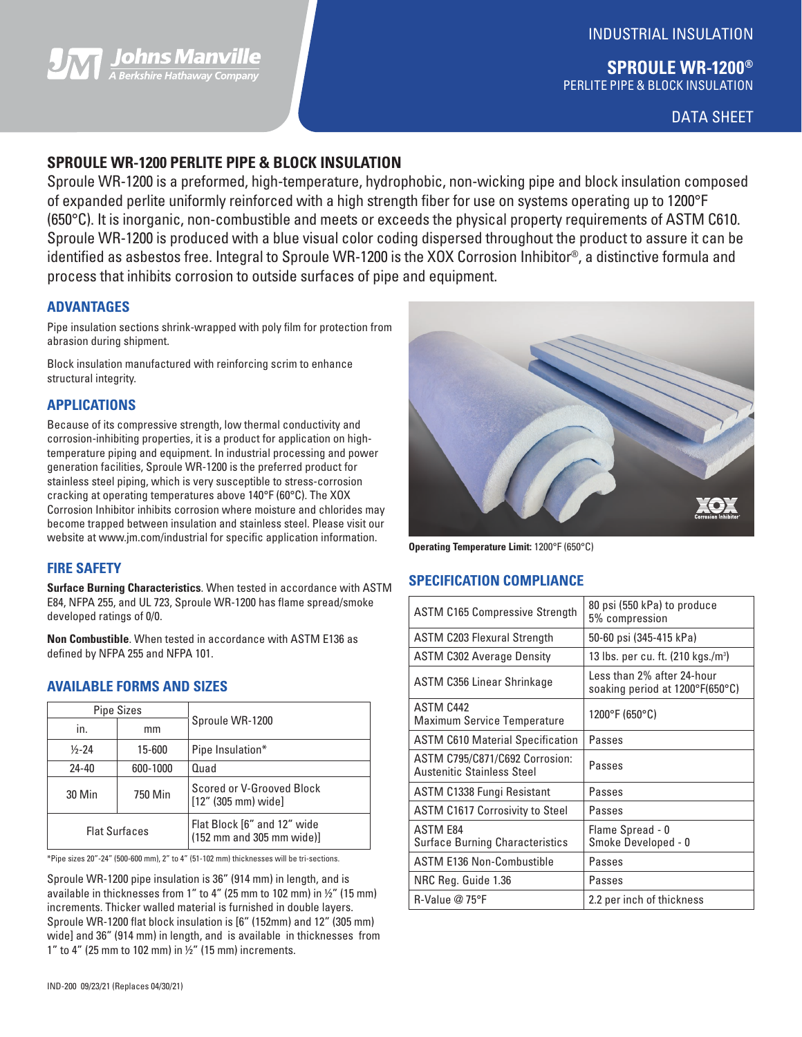

## INDUSTRIAL INSULATION

**SPROULE WR-1200®** PERLITE PIPE & BLOCK INSULATION

DATA SHEET

## **SPROULE WR-1200 PERLITE PIPE & BLOCK INSULATION**

Sproule WR-1200 is a preformed, high-temperature, hydrophobic, non-wicking pipe and block insulation composed of expanded perlite uniformly reinforced with a high strength fiber for use on systems operating up to 1200°F (650°C). It is inorganic, non-combustible and meets or exceeds the physical property requirements of ASTM C610. Sproule WR-1200 is produced with a blue visual color coding dispersed throughout the product to assure it can be identified as asbestos free. Integral to Sproule WR-1200 is the XOX Corrosion Inhibitor®, a distinctive formula and process that inhibits corrosion to outside surfaces of pipe and equipment.

## **ADVANTAGES**

Pipe insulation sections shrink-wrapped with poly film for protection from abrasion during shipment.

Block insulation manufactured with reinforcing scrim to enhance structural integrity.

### **APPLICATIONS**

Because of its compressive strength, low thermal conductivity and corrosion-inhibiting properties, it is a product for application on hightemperature piping and equipment. In industrial processing and power generation facilities, Sproule WR-1200 is the preferred product for stainless steel piping, which is very susceptible to stress-corrosion cracking at operating temperatures above 140°F (60°C). The XOX Corrosion Inhibitor inhibits corrosion where moisture and chlorides may become trapped between insulation and stainless steel. Please visit our website at www.jm.com/industrial for specific application information.

## **FIRE SAFETY**

**Surface Burning Characteristics**. When tested in accordance with ASTM E84, NFPA 255, and UL 723, Sproule WR-1200 has flame spread/smoke developed ratings of 0/0.

**Non Combustible**. When tested in accordance with ASTM E136 as defined by NFPA 255 and NFPA 101.

## **AVAILABLE FORMS AND SIZES**

| <b>Pipe Sizes</b>    |          |                                                          |  |  |
|----------------------|----------|----------------------------------------------------------|--|--|
| in.                  | mm       | Sproule WR-1200                                          |  |  |
| $1/2 - 24$           | 15-600   | Pipe Insulation*                                         |  |  |
| $24 - 40$            | 600-1000 | Quad                                                     |  |  |
| 30 Min               | 750 Min  | Scored or V-Grooved Block<br>$[12" (305 mm)$ wide]       |  |  |
| <b>Flat Surfaces</b> |          | Flat Block [6" and 12" wide<br>(152 mm and 305 mm wide)] |  |  |

\*Pipe sizes 20"-24" (500-600 mm), 2" to 4" (51-102 mm) thicknesses will be tri-sections.

Sproule WR-1200 pipe insulation is 36" (914 mm) in length, and is available in thicknesses from 1" to 4" (25 mm to 102 mm) in ½" (15 mm) increments. Thicker walled material is furnished in double layers. Sproule WR-1200 flat block insulation is [6" (152mm) and 12" (305 mm) wide] and 36" (914 mm) in length, and is available in thicknesses from 1" to 4" (25 mm to 102 mm) in  $\frac{1}{2}$ " (15 mm) increments.



**Operating Temperature Limit:** 1200°F (650°C)

## **SPECIFICATION COMPLIANCE**

| <b>ASTM C165 Compressive Strength</b>                               | 80 psi (550 kPa) to produce<br>5% compression                 |  |  |
|---------------------------------------------------------------------|---------------------------------------------------------------|--|--|
| <b>ASTM C203 Flexural Strength</b>                                  | 50-60 psi (345-415 kPa)                                       |  |  |
| <b>ASTM C302 Average Density</b>                                    | 13 lbs. per cu. ft. (210 kgs./m <sup>3</sup> )                |  |  |
| ASTM C356 Linear Shrinkage                                          | Less than 2% after 24-hour<br>soaking period at 1200°F(650°C) |  |  |
| ASTM C442<br><b>Maximum Service Temperature</b>                     | 1200°F (650°C)                                                |  |  |
| <b>ASTM C610 Material Specification</b>                             | Passes                                                        |  |  |
| ASTM C795/C871/C692 Corrosion:<br><b>Austenitic Stainless Steel</b> | Passes                                                        |  |  |
| ASTM C1338 Fungi Resistant                                          | Passes                                                        |  |  |
| <b>ASTM C1617 Corrosivity to Steel</b>                              | Passes                                                        |  |  |
| <b>ASTM E84</b><br><b>Surface Burning Characteristics</b>           | Flame Spread - 0<br>Smoke Developed - 0                       |  |  |
| <b>ASTM E136 Non-Combustible</b>                                    | Passes                                                        |  |  |
| NRC Reg. Guide 1.36                                                 | Passes                                                        |  |  |
| $R-Value @ 75^{\circ}F$                                             | 2.2 per inch of thickness                                     |  |  |